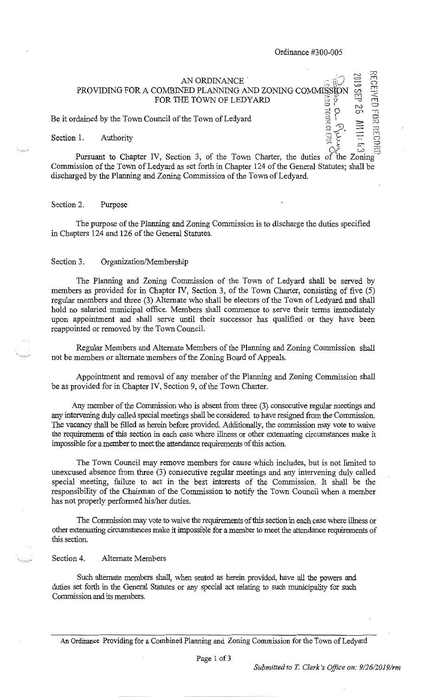$\overline{a}$ 

-.7'3

 $\hat{\mathcal{L}}$ 

 $\stackrel{\scriptscriptstyle\cdots}{\scriptscriptstyle\odot}\stackrel{\scriptscriptstyle\cdots}{\scriptscriptstyle\odot}$ 

CP.

,-..

.7D **rrl**   $\sqrt{2}$ 

### AN ORDINANCE ,, PROVIDING FOR A COMBINED PLANNING AND ZONING COMMISSION FOR THE TOWN OF LEDYARD  $\frac{2}{3}$   $\frac{8}{5}$ <br>
uncil of the Town of Ledvard  $=$ ....  $\vec{z}$ i  $\epsilon$ , in

Be it ordained by the Town Council of the Town of Ledyard  $\begin{bmatrix} \frac{3}{2} \\ \frac{3}{2} \end{bmatrix}$ .<br>Section 1. Authority **Replaces** 

Pursuant to Chapter IV, Section 3, of the Town Charter, the duties of the Zoning <sup>2</sup> Commission of the Town of Ledyard as set forth in Chapter 124 of the General Statutes; shall be discharged by the Planning and Zoning Commission of the Town of Ledyard.

### Section 2. Purpose

The purpose of the Planning and Zoning Commission is to discharge the duties specified in Chapters 124 and 126 of the General Statutes.

### Section 3. Organization/Membership

The Planning and Zoning Commission of the Town of Ledyard shall be served by members as provided for in Chapter IV, Section 3, of the Town Charter, consisting of five (5) regular members and three (3) Alternate who shall be electors of the Town of Ledyard and shall hold no salaried municipal office. Members shall commence to serve their terms immediately upon appointment and shall serve until their successor has qualified or they have been reappointed or removed by the Town Council.

Regular Members and Alternate Members of the Planning and Zoning Commission shall not be members or alternate members of the Zoning Board of Appeals.

Appointment and removal of any member of the Planning and Zoning Commission shall be as provided for in Chapter IV, Section 9, of the Town Charter.

Any member of the Commission who is absent from three (3) consecutive regular meetings and any intervening duly called special meetings shall be considered to have resigned from the Commission. The vacancy shall be filled as herein before provided. Additionally, the commission may vote to waive the requirements of this section in each case where illness or other extenuating circumstances make it impossible for a member to meet the attendance requirements of this action.

The Town Council may remove members for cause which includes, but is not limited to unexcused absence from three (3) consecutive regular meetings and any intervening duly called special meeting, failure to act in the best interests of the Commission. It shall be the responsibility of the Chairman of the Commission to notify the Town Council when a member has not properly performed his/her duties.

The Commission may vote to waive the requirements of this section in each case where illness or other extenuating circumstances make it impossible for a member to meet the attendance requirements of this section.

## Section 4. Alternate Members

Such alternate members shall, when seated as herein provided, have all the powers and duties set forth in the General Statutes or any special act relating to such municipality for such Commission and its members.

An Ordinance Providing for a Combined Planning and Zoning Commission for the Town of Ledyard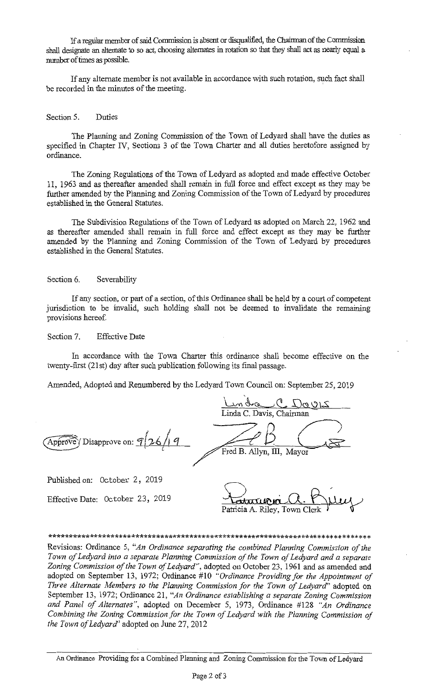If a regular member of said Commission is absent or disqualified, the Chairman of the Commission shall designate an alternate to so act, choosing alternates in rotation so that they shall act as nearly equal a number of times as possible.

If any alternate member is not available in accordance with such rotation, such fact shall be recorded in the minutes of the meeting.

#### Section 5. Duties

The Planning and Zoning Commission of the Town of Ledyard shall have the duties as specified in Chapter IV, Sections 3 of the Town Charter and all duties heretofore assigned by ordinance.

The Zoning Regulations of the Town of Ledyard as adopted and made effective October 11, 1963 and as thereafter amended shall remain in full force and effect except as they may be further amended by the Planning and Zoning Commission of the Town of Ledyard by procedures established in the General Statutes.

The Subdivision Regulations of the Town of Ledyard as adopted on March 22, 1962 and as thereafter amended shall remain in full force and effect except as they may be further amended by the Planning and Zoning Commission of the Town of Ledyard by procedures established in the General Statutes.

### Section 6. Severability

If any section, or part of a section, of this Ordinance shall be held by a court of competent jurisdiction to be invalid, such holding shall not be deemed to invalidate the remaining provisions hereof.

#### Section 7. **Effective Date**

In accordance with the Town Charter this ordinance shall become effective on the twenty-first (21st) day after such publication following its final passage.

Amended, Adopted and Renumbered by the Ledyard Town Council on: September 25, 2019

indra C Davis Linda C. Davis, Chairman Approve Disapprove on: 926/9 Fred B. Allyn, III, Mayor

Published on: October 2, 2019

Effective Date: October 23, 2019

Patricia A. Riley, Town Clerk

# 

Revisions: Ordinance 5, "An Ordinance separating the combined Planning Commission of the Town of Ledyard into a separate Planning Commission of the Town of Ledyard and a separate Zoning Commission of the Town of Ledyard", adopted on October 23, 1961 and as amended and adopted on September 13, 1972; Ordinance #10 "Ordinance Providing for the Appointment of Three Alternate Members to the Planning Commission for the Town of Ledyard" adopted on September 13, 1972; Ordinance 21, "An Ordinance establishing a separate Zoning Commission and Panel of Alternates", adopted on December 5, 1973, Ordinance #128 "An Ordinance Combining the Zoning Commission for the Town of Ledyard with the Planning Commission of the Town of Ledyard" adopted on June 27, 2012

An Ordinance Providing for a Combined Planning and Zoning Commission for the Town of Ledyard